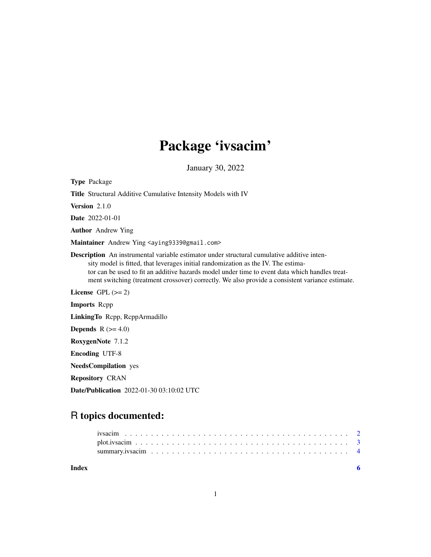# Package 'ivsacim'

January 30, 2022

Type Package Title Structural Additive Cumulative Intensity Models with IV Version 2.1.0 Date 2022-01-01 Author Andrew Ying Maintainer Andrew Ying <aying9339@gmail.com> Description An instrumental variable estimator under structural cumulative additive intensity model is fitted, that leverages initial randomization as the IV. The estimator can be used to fit an additive hazards model under time to event data which handles treatment switching (treatment crossover) correctly. We also provide a consistent variance estimate. License GPL  $(>= 2)$ Imports Rcpp LinkingTo Rcpp, RcppArmadillo **Depends** R  $(>= 4.0)$ RoxygenNote 7.1.2 Encoding UTF-8 NeedsCompilation yes Repository CRAN Date/Publication 2022-01-30 03:10:02 UTC

# R topics documented: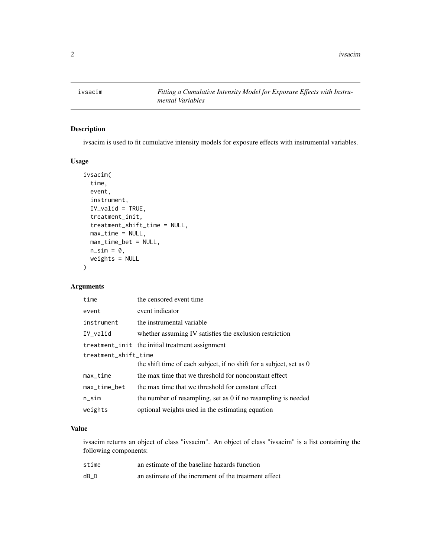<span id="page-1-0"></span>

# Description

ivsacim is used to fit cumulative intensity models for exposure effects with instrumental variables.

#### Usage

```
ivsacim(
  time,
 event,
  instrument,
  IV_valid = TRUE,
  treatment_init,
  treatment_shift_time = NULL,
 max_time = NULL,max_time_bet = NULL,
 n\_sim = 0,
 weights = NULL
)
```
# Arguments

| time                 | the censored event time                                                    |
|----------------------|----------------------------------------------------------------------------|
| event                | event indicator                                                            |
| instrument           | the instrumental variable                                                  |
| IV_valid             | whether assuming IV satisfies the exclusion restriction                    |
|                      | treatment_init the initial treatment assignment                            |
| treatment_shift_time |                                                                            |
|                      | the shift time of each subject, if no shift for a subject, set as $\theta$ |
| $max_time$           | the max time that we threshold for nonconstant effect                      |
| $max_time_bet$       | the max time that we threshold for constant effect                         |
| $n$ _sim             | the number of resampling, set as $\theta$ if no resampling is needed       |
| weights              | optional weights used in the estimating equation                           |

#### Value

ivsacim returns an object of class "ivsacim". An object of class "ivsacim" is a list containing the following components:

| stime | an estimate of the baseline hazards function         |
|-------|------------------------------------------------------|
| dB D  | an estimate of the increment of the treatment effect |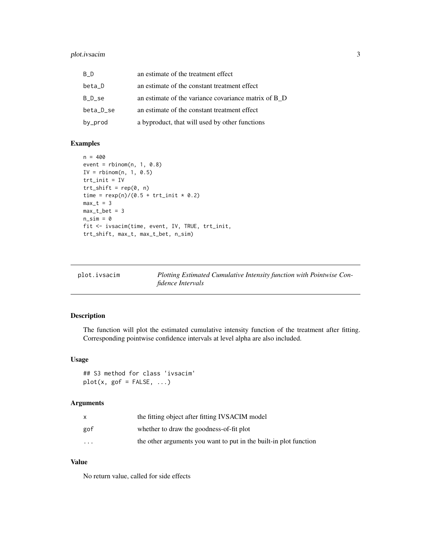# <span id="page-2-0"></span>plot.ivsacim 3

| B D       | an estimate of the treatment effect                  |
|-----------|------------------------------------------------------|
| beta_D    | an estimate of the constant treatment effect         |
| B D se    | an estimate of the variance covariance matrix of B D |
| beta_D_se | an estimate of the constant treatment effect         |
| by_prod   | a byproduct, that will used by other functions       |

# Examples

```
n = 400event = rbinom(n, 1, 0.8)IV = rbinom(n, 1, 0.5)trt_init = IV
trt_{shift} = rep(0, n)time = resp(n)/(0.5 + trt_init * 0.2)max_t = 3max_t_bet = 3n_sim = 0
fit <- ivsacim(time, event, IV, TRUE, trt_init,
trt_shift, max_t, max_t_bet, n_sim)
```

| plot.ivsacim | Plotting Estimated Cumulative Intensity function with Pointwise Con- |
|--------------|----------------------------------------------------------------------|
|              | <i>fidence Intervals</i>                                             |

# Description

The function will plot the estimated cumulative intensity function of the treatment after fitting. Corresponding pointwise confidence intervals at level alpha are also included.

#### Usage

```
## S3 method for class 'ivsacim'
plot(x, gof = FALSE, ...)
```
#### Arguments

|                      | the fitting object after fitting IVSACIM model                    |
|----------------------|-------------------------------------------------------------------|
| gof                  | whether to draw the goodness-of-fit plot                          |
| $\ddot{\phantom{0}}$ | the other arguments you want to put in the built-in plot function |

#### Value

No return value, called for side effects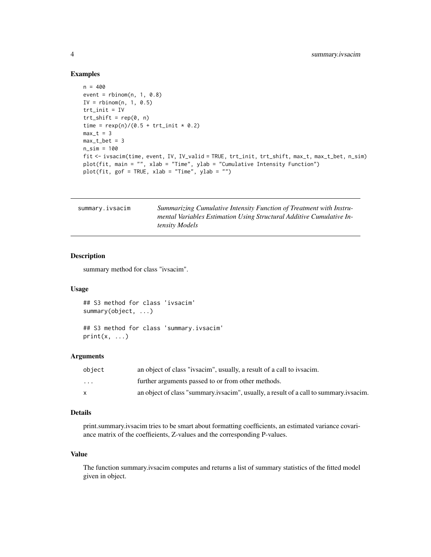#### Examples

```
n = 400
event = rbinom(n, 1, 0.8)IV = rhinom(n, 1, 0.5)trt_init = IV
trt_{shift} = rep(0, n)time = resp(n)/(0.5 + trt_init * 0.2)max_t = 3max_t_bet = 3n_sim = 100
fit <- ivsacim(time, event, IV, IV_valid = TRUE, trt_init, trt_shift, max_t, max_t_bet, n_sim)
plot(fit, main = "", xlab = "Time", ylab = "Cumulative Intensity Function")
plot(fit, gof = TRUE, xlab = "Time", ylab = "")
```

| summary.ivsacim | Summarizing Cumulative Intensity Function of Treatment with Instru-  |
|-----------------|----------------------------------------------------------------------|
|                 | mental Variables Estimation Using Structural Additive Cumulative In- |
|                 | <i>tensity Models</i>                                                |

# Description

summary method for class "ivsacim".

## Usage

```
## S3 method for class 'ivsacim'
summary(object, ...)
```
## S3 method for class 'summary.ivsacim'  $print(x, \ldots)$ 

#### Arguments

| object                  | an object of class "ivsacim", usually, a result of a call to ivsacim.                 |
|-------------------------|---------------------------------------------------------------------------------------|
| $\cdot$ $\cdot$ $\cdot$ | further arguments passed to or from other methods.                                    |
|                         | an object of class "summary ivsacim", usually, a result of a call to summary ivsacim. |

#### Details

print.summary.ivsacim tries to be smart about formatting coefficients, an estimated variance covariance matrix of the coeffieients, Z-values and the corresponding P-values.

#### Value

The function summary.ivsacim computes and returns a list of summary statistics of the fitted model given in object.

<span id="page-3-0"></span>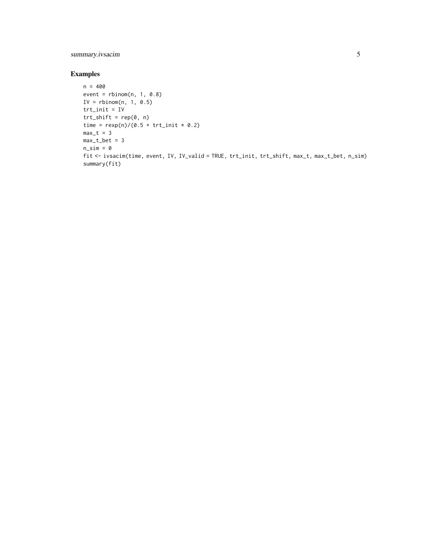# summary.ivsacim 5

# Examples

```
n = 400
event = rbinom(n, 1, 0.8)IV = rhinom(n, 1, 0.5)trt_init = IV
trt_{shift} = rep(0, n)time = resp(n)/(0.5 + trt_init * 0.2)max_t = 3max_t_bet = 3n\_sim = 0fit <- ivsacim(time, event, IV, IV_valid = TRUE, trt_init, trt_shift, max_t, max_t_bet, n_sim)
summary(fit)
```